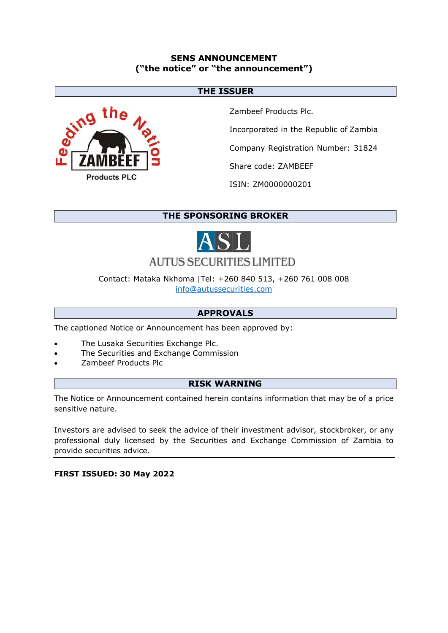## **SENS ANNOUNCEMENT ("the notice" or "the announcement")**

### **THE ISSUER**



Zambeef Products Plc.

Incorporated in the Republic of Zambia

Company Registration Number: 31824

Share code: ZAMBEEF

ISIN: ZM0000000201

# **THE SPONSORING BROKER**



# **AUTUS SECURITIES LIMITED**

Contact: Mataka Nkhoma |Tel: +260 840 513, +260 761 008 008 [info@autussecurities.com](mailto:info@autussecurities.com)

# **APPROVALS**

The captioned Notice or Announcement has been approved by:

- The Lusaka Securities Exchange Plc.
- The Securities and Exchange Commission
- Zambeef Products Plc

## **RISK WARNING**

The Notice or Announcement contained herein contains information that may be of a price sensitive nature.

Investors are advised to seek the advice of their investment advisor, stockbroker, or any professional duly licensed by the Securities and Exchange Commission of Zambia to provide securities advice.

**FIRST ISSUED: 30 May 2022**